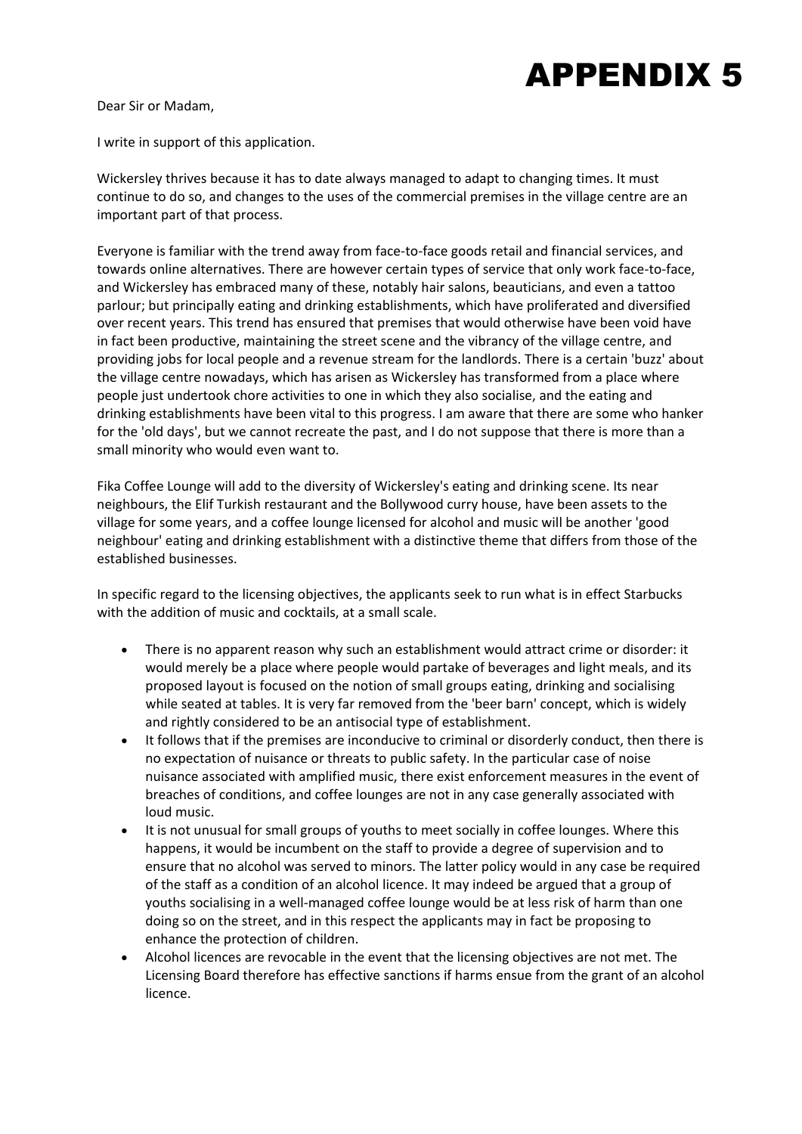## APPENDIX 5

Dear Sir or Madam,

I write in support of this application.

Wickersley thrives because it has to date always managed to adapt to changing times. It must continue to do so, and changes to the uses of the commercial premises in the village centre are an important part of that process.

Everyone is familiar with the trend away from face-to-face goods retail and financial services, and towards online alternatives. There are however certain types of service that only work face‐to‐face, and Wickersley has embraced many of these, notably hair salons, beauticians, and even a tattoo parlour; but principally eating and drinking establishments, which have proliferated and diversified over recent years. This trend has ensured that premises that would otherwise have been void have in fact been productive, maintaining the street scene and the vibrancy of the village centre, and providing jobs for local people and a revenue stream for the landlords. There is a certain 'buzz' about the village centre nowadays, which has arisen as Wickersley has transformed from a place where people just undertook chore activities to one in which they also socialise, and the eating and drinking establishments have been vital to this progress. I am aware that there are some who hanker for the 'old days', but we cannot recreate the past, and I do not suppose that there is more than a small minority who would even want to.

Fika Coffee Lounge will add to the diversity of Wickersley's eating and drinking scene. Its near neighbours, the Elif Turkish restaurant and the Bollywood curry house, have been assets to the village for some years, and a coffee lounge licensed for alcohol and music will be another 'good neighbour' eating and drinking establishment with a distinctive theme that differs from those of the established businesses.

In specific regard to the licensing objectives, the applicants seek to run what is in effect Starbucks with the addition of music and cocktails, at a small scale.

- There is no apparent reason why such an establishment would attract crime or disorder: it would merely be a place where people would partake of beverages and light meals, and its proposed layout is focused on the notion of small groups eating, drinking and socialising while seated at tables. It is very far removed from the 'beer barn' concept, which is widely and rightly considered to be an antisocial type of establishment.
- It follows that if the premises are inconducive to criminal or disorderly conduct, then there is no expectation of nuisance or threats to public safety. In the particular case of noise nuisance associated with amplified music, there exist enforcement measures in the event of breaches of conditions, and coffee lounges are not in any case generally associated with loud music.
- It is not unusual for small groups of youths to meet socially in coffee lounges. Where this happens, it would be incumbent on the staff to provide a degree of supervision and to ensure that no alcohol was served to minors. The latter policy would in any case be required of the staff as a condition of an alcohol licence. It may indeed be argued that a group of youths socialising in a well‐managed coffee lounge would be at less risk of harm than one doing so on the street, and in this respect the applicants may in fact be proposing to enhance the protection of children.
- Alcohol licences are revocable in the event that the licensing objectives are not met. The Licensing Board therefore has effective sanctions if harms ensue from the grant of an alcohol licence.